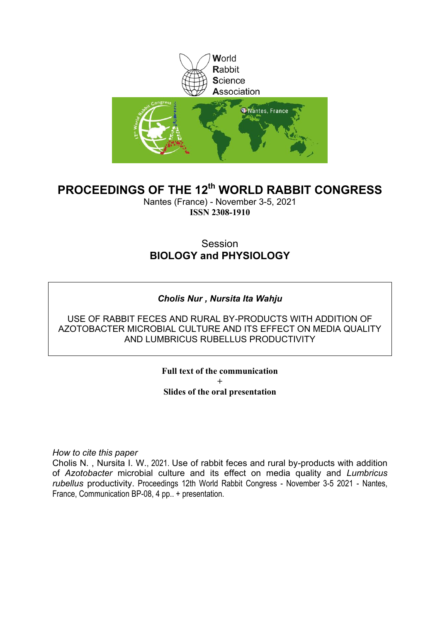

### **PROCEEDINGS OF THE 12th WORLD RABBIT CONGRESS**

Nantes (France) - November 3-5, 2021 **ISSN 2308-1910**

#### **Session BIOLOGY and PHYSIOLOGY**

#### *Cholis Nur , Nursita Ita Wahju*

USE OF RABBIT FECES AND RURAL BY-PRODUCTS WITH ADDITION OF AZOTOBACTER MICROBIAL CULTURE AND ITS EFFECT ON MEDIA QUALITY AND LUMBRICUS RUBELLUS PRODUCTIVITY

> **Full text of the communication + Slides of the oral presentation**

*How to cite this paper*

Cholis N. , Nursita I. W., 2021. Use of rabbit feces and rural by-products with addition of *Azotobacter* microbial culture and its effect on media quality and *Lumbricus rubellus* productivity. Proceedings 12th World Rabbit Congress - November 3-5 2021 - Nantes, France, Communication BP-08, 4 pp.. + presentation.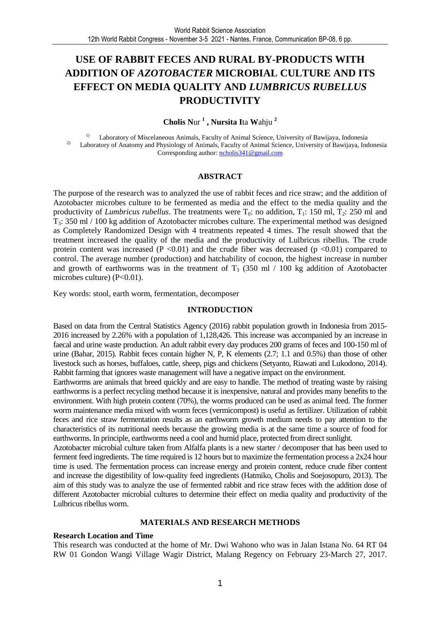#### **USE OF RABBIT FECES AND RURAL BY-PRODUCTS WITH ADDITION OF** *AZOTOBACTER* **MICROBIAL CULTURE AND ITS EFFECT ON MEDIA QUALITY AND** *LUMBRICUS RUBELLUS* **PRODUCTIVITY**

**Cholis N**ur **<sup>1</sup> , Nursita I**ta **W**ahju **<sup>2</sup>**

1) Laboratory of Miscelaneous Animals, Faculty of Animal Science, University of Bawijaya, Indonesia <sup>2)</sup> Laboratory of Anatomy and Physiology of Animals, Faculty of Animal Science, University of Bawijaya, Indonesia Corresponding author: ncholis341@gmail.com

#### **ABSTRACT**

The purpose of the research was to analyzed the use of rabbit feces and rice straw; and the addition of Azotobacter microbes culture to be fermented as media and the effect to the media quality and the productivity of *Lumbricus rubellus*. The treatments were  $T_0$ : no addition,  $T_1$ : 150 ml,  $T_2$ : 250 ml and T3: 350 ml / 100 kg addition of Azotobacter microbes culture. The experimental method was designed as Completely Randomized Design with 4 treatments repeated 4 times. The result showed that the treatment increased the quality of the media and the productivity of Lulbricus ribellus. The crude protein content was increased  $(P \le 0.01)$  and the crude fiber was decreased  $(p \le 0.01)$  compared to control. The average number (production) and hatchability of cocoon, the highest increase in number and growth of earthworms was in the treatment of  $T_3$  (350 ml / 100 kg addition of Azotobacter microbes culture) (P<0.01).

Key words: stool, earth worm, fermentation, decomposer

#### **INTRODUCTION**

Based on data from the Central Statistics Agency (2016) rabbit population growth in Indonesia from 2015- 2016 increased by 2.26% with a population of 1,128,426. This increase was accompanied by an increase in faecal and urine waste production. An adult rabbit every day produces 200 grams of feces and 100-150 ml of urine (Bahar, 2015). Rabbit feces contain higher N, P, K elements (2.7; 1.1 and 0.5%) than those of other livestock such as horses, buffaloes, cattle, sheep, pigs and chickens (Setyanto, Riawati and Lukodono, 2014). Rabbit farming that ignores waste management will have a negative impact on the environment.

Earthworms are animals that breed quickly and are easy to handle. The method of treating waste by raising earthworms is a perfect recycling method because it is inexpensive, natural and provides many benefits to the environment. With high protein content (70%), the worms produced can be used as animal feed. The former worm maintenance media mixed with worm feces (vermicompost) is useful as fertilizer. Utilization of rabbit feces and rice straw fermentation results as an earthworm growth medium needs to pay attention to the characteristics of its nutritional needs because the growing media is at the same time a source of food for earthworms. In principle, earthworms need a cool and humid place, protected from direct sunlight.

Azotobacter microbial culture taken from Alfalfa plants is a new starter / decomposer that has been used to ferment feed ingredients. The time required is 12 hours but to maximize the fermentation process a 2x24 hour time is used. The fermentation process can increase energy and protein content, reduce crude fiber content and increase the digestibility of low-quality feed ingredients (Hatmiko, Cholis and Soejosopuro, 2013). The aim of this study was to analyze the use of fermented rabbit and rice straw feces with the addition dose of different Azotobacter microbial cultures to determine their effect on media quality and productivity of the Lulbricus ribellus worm.

#### **MATERIALS AND RESEARCH METHODS**

#### **Research Location and Time**

This research was conducted at the home of Mr. Dwi Wahono who was in Jalan Istana No. 64 RT 04 RW 01 Gondon Wangi Village Wagir District, Malang Regency on February 23-March 27, 2017.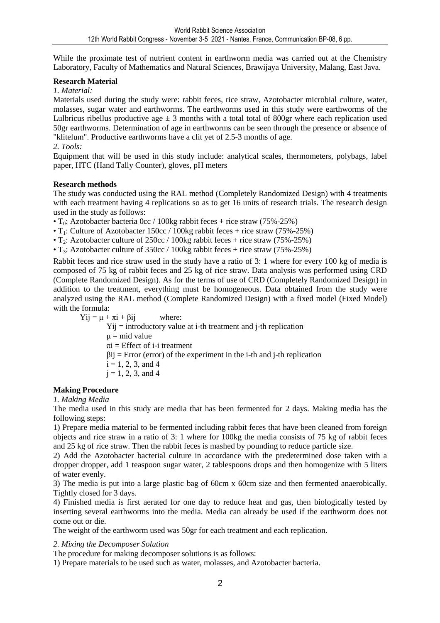While the proximate test of nutrient content in earthworm media was carried out at the Chemistry Laboratory, Faculty of Mathematics and Natural Sciences, Brawijaya University, Malang, East Java.

#### **Research Material**

#### *1. Material:*

Materials used during the study were: rabbit feces, rice straw, Azotobacter microbial culture, water, molasses, sugar water and earthworms. The earthworms used in this study were earthworms of the Lulbricus ribellus productive age  $\pm$  3 months with a total total of 800gr where each replication used 50gr earthworms. Determination of age in earthworms can be seen through the presence or absence of "klitelum". Productive earthworms have a clit yet of 2.5-3 months of age.

#### *2. Tools:*

Equipment that will be used in this study include: analytical scales, thermometers, polybags, label paper, HTC (Hand Tally Counter), gloves, pH meters

#### **Research methods**

The study was conducted using the RAL method (Completely Randomized Design) with 4 treatments with each treatment having 4 replications so as to get 16 units of research trials. The research design used in the study as follows:

•  $T_0$ : Azotobacter bacteria 0cc / 100kg rabbit feces + rice straw (75%-25%)

•  $T_1$ : Culture of Azotobacter 150cc / 100kg rabbit feces + rice straw (75%-25%)

• T<sub>2</sub>: Azotobacter culture of  $250cc / 100kg$  rabbit feces + rice straw (75%-25%)

•  $T_3$ : Azotobacter culture of 350cc / 100kg rabbit feces + rice straw (75%-25%)

Rabbit feces and rice straw used in the study have a ratio of 3: 1 where for every 100 kg of media is composed of 75 kg of rabbit feces and 25 kg of rice straw. Data analysis was performed using CRD (Complete Randomized Design). As for the terms of use of CRD (Completely Randomized Design) in addition to the treatment, everything must be homogeneous. Data obtained from the study were analyzed using the RAL method (Complete Randomized Design) with a fixed model (Fixed Model) with the formula:

 $Yii = \mu + \pi i + \beta ii$  where:  $Yij =$  introductory value at i-th treatment and j-th replication  $\mu$  = mid value  $\pi$ i = Effect of i-i treatment  $\beta$ ij = Error (error) of the experiment in the i-th and j-th replication  $i = 1, 2, 3,$  and 4  $i = 1, 2, 3,$  and 4

#### **Making Procedure**

#### *1. Making Media*

The media used in this study are media that has been fermented for 2 days. Making media has the following steps:

1) Prepare media material to be fermented including rabbit feces that have been cleaned from foreign objects and rice straw in a ratio of 3: 1 where for 100kg the media consists of 75 kg of rabbit feces and 25 kg of rice straw. Then the rabbit feces is mashed by pounding to reduce particle size.

2) Add the Azotobacter bacterial culture in accordance with the predetermined dose taken with a dropper dropper, add 1 teaspoon sugar water, 2 tablespoons drops and then homogenize with 5 liters of water evenly.

3) The media is put into a large plastic bag of 60cm x 60cm size and then fermented anaerobically. Tightly closed for 3 days.

4) Finished media is first aerated for one day to reduce heat and gas, then biologically tested by inserting several earthworms into the media. Media can already be used if the earthworm does not come out or die.

The weight of the earthworm used was 50gr for each treatment and each replication.

*2. Mixing the Decomposer Solution* 

The procedure for making decomposer solutions is as follows:

1) Prepare materials to be used such as water, molasses, and Azotobacter bacteria.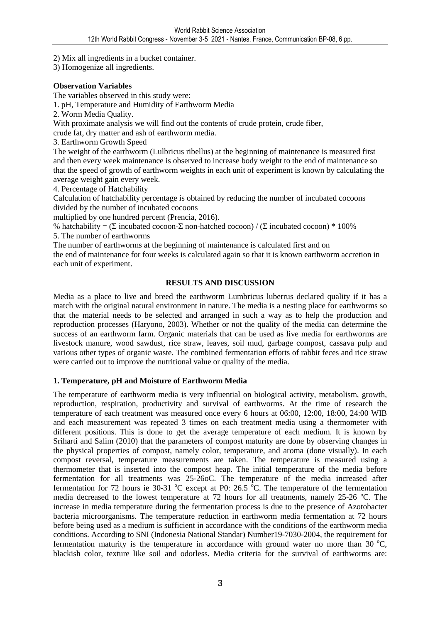2) Mix all ingredients in a bucket container.

3) Homogenize all ingredients.

#### **Observation Variables**

The variables observed in this study were:

1. pH, Temperature and Humidity of Earthworm Media

2. Worm Media Quality.

With proximate analysis we will find out the contents of crude protein, crude fiber,

crude fat, dry matter and ash of earthworm media.

3. Earthworm Growth Speed

The weight of the earthworm (Lulbricus ribellus) at the beginning of maintenance is measured first and then every week maintenance is observed to increase body weight to the end of maintenance so that the speed of growth of earthworm weights in each unit of experiment is known by calculating the average weight gain every week.

4. Percentage of Hatchability

Calculation of hatchability percentage is obtained by reducing the number of incubated cocoons divided by the number of incubated cocoons

multiplied by one hundred percent (Prencia, 2016).

% hatchability =  $(\Sigma \text{ incubated cocoon} \cdot \Sigma \text{ non-hatched cocoon}) / (\Sigma \text{ incubated cocoon}) * 100\%$ 

5. The number of earthworms

The number of earthworms at the beginning of maintenance is calculated first and on

the end of maintenance for four weeks is calculated again so that it is known earthworm accretion in each unit of experiment.

#### **RESULTS AND DISCUSSION**

Media as a place to live and breed the earthworm Lumbricus luberrus declared quality if it has a match with the original natural environment in nature. The media is a nesting place for earthworms so that the material needs to be selected and arranged in such a way as to help the production and reproduction processes (Haryono, 2003). Whether or not the quality of the media can determine the success of an earthworm farm. Organic materials that can be used as live media for earthworms are livestock manure, wood sawdust, rice straw, leaves, soil mud, garbage compost, cassava pulp and various other types of organic waste. The combined fermentation efforts of rabbit feces and rice straw were carried out to improve the nutritional value or quality of the media.

#### **1. Temperature, pH and Moisture of Earthworm Media**

The temperature of earthworm media is very influential on biological activity, metabolism, growth, reproduction, respiration, productivity and survival of earthworms. At the time of research the temperature of each treatment was measured once every 6 hours at 06:00, 12:00, 18:00, 24:00 WIB and each measurement was repeated 3 times on each treatment media using a thermometer with different positions. This is done to get the average temperature of each medium. It is known by Sriharti and Salim (2010) that the parameters of compost maturity are done by observing changes in the physical properties of compost, namely color, temperature, and aroma (done visually). In each compost reversal, temperature measurements are taken. The temperature is measured using a thermometer that is inserted into the compost heap. The initial temperature of the media before fermentation for all treatments was 25-26oC. The temperature of the media increased after fermentation for 72 hours ie 30-31  $^{\circ}$ C except at P0: 26.5  $^{\circ}$ C. The temperature of the fermentation media decreased to the lowest temperature at 72 hours for all treatments, namely 25-26 °C. The increase in media temperature during the fermentation process is due to the presence of Azotobacter bacteria microorganisms. The temperature reduction in earthworm media fermentation at 72 hours before being used as a medium is sufficient in accordance with the conditions of the earthworm media conditions. According to SNI (Indonesia National Standar) Number19-7030-2004, the requirement for fermentation maturity is the temperature in accordance with ground water no more than 30  $^{\circ}C$ , blackish color, texture like soil and odorless. Media criteria for the survival of earthworms are: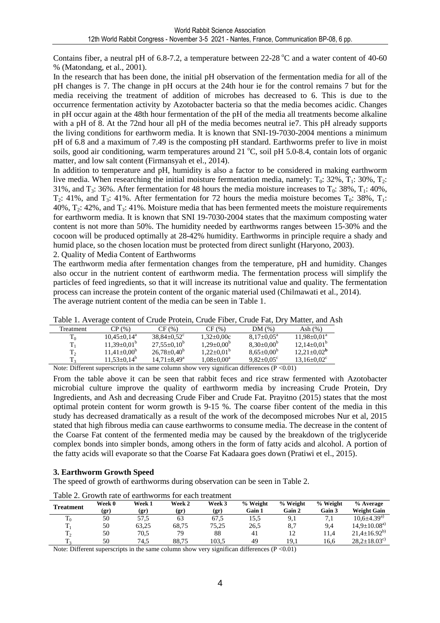Contains fiber, a neutral pH of 6.8-7.2, a temperature between  $22{\text -}28^{\circ}\text{C}$  and a water content of 40-60 % (Matondang, et al., 2001).

In the research that has been done, the initial pH observation of the fermentation media for all of the pH changes is 7. The change in pH occurs at the 24th hour ie for the control remains 7 but for the media receiving the treatment of addition of microbes has decreased to 6. This is due to the occurrence fermentation activity by Azotobacter bacteria so that the media becomes acidic. Changes in pH occur again at the 48th hour fermentation of the pH of the media all treatments become alkaline with a pH of 8. At the 72nd hour all pH of the media becomes neutral ie7. This pH already supports the living conditions for earthworm media. It is known that SNI-19-7030-2004 mentions a minimum pH of 6.8 and a maximum of 7.49 is the composting pH standard. Earthworms prefer to live in moist soils, good air conditioning, warm temperatures around 21  $^{\circ}$ C, soil pH 5.0-8.4, contain lots of organic matter, and low salt content (Firmansyah et el., 2014).

In addition to temperature and pH, humidity is also a factor to be considered in making earthworm live media. When researching the initial moisture fermentation media, namely:  $T_0$ : 32%,  $T_1$ : 30%,  $T_2$ : 31%, and  $T_3$ : 36%. After fermentation for 48 hours the media moisture increases to  $T_0$ : 38%,  $T_1$ : 40%, T<sub>2</sub>: 41%, and T<sub>3</sub>: 41%. After fermentation for 72 hours the media moisture becomes T<sub>0</sub>: 38%, T<sub>1</sub>:  $40\%$ , T<sub>2</sub>:  $42\%$ , and T<sub>3</sub>:  $41\%$ . Moisture media that has been fermented meets the moisture requirements for earthworm media. It is known that SNI 19-7030-2004 states that the maximum composting water content is not more than 50%. The humidity needed by earthworms ranges between 15-30% and the cocoon will be produced optimally at 28-42% humidity. Earthworms in principle require a shady and humid place, so the chosen location must be protected from direct sunlight (Haryono, 2003). 2. Quality of Media Content of Earthworms

The earthworm media after fermentation changes from the temperature, pH and humidity. Changes also occur in the nutrient content of earthworm media. The fermentation process will simplify the particles of feed ingredients, so that it will increase its nutritional value and quality. The fermentation process can increase the protein content of the organic material used (Chilmawati et al., 2014). The average nutrient content of the media can be seen in Table 1.

|                                                                                                 |                    |                               |                   | Table 1. Trenage comem of Crude Frolem, Crude Floci, Crude Fat, Dry Matter, and T |                               |  |  |  |  |
|-------------------------------------------------------------------------------------------------|--------------------|-------------------------------|-------------------|-----------------------------------------------------------------------------------|-------------------------------|--|--|--|--|
| Treatment                                                                                       | CP(%)              | CF(%)                         | CF(%)             | DM(%)                                                                             | Ash $(\%)$                    |  |  |  |  |
| $T_0$                                                                                           | $10.45 \pm 0.14^a$ | $38.84 \pm 0.52$ <sup>c</sup> | $1.32 \pm 0.00c$  | $8.17 \pm 0.05^{\text{a}}$                                                        | $11.98 \pm 0.01^a$            |  |  |  |  |
|                                                                                                 | $11.39 \pm 0.01^b$ | $27.55 \pm 0.10^b$            | $1.29 \pm 0.00^b$ | $8.30 \pm 0.00^b$                                                                 | $12,14\pm0.01^{\rm b}$        |  |  |  |  |
| $T_2$                                                                                           | $11,41\pm0,00^6$   | $26.78 \pm 0.40^b$            | $1.22 \pm 0.01^b$ | $8.65 \pm 0.00^{\circ}$                                                           | $12.21 \pm 0.02^{\rm b}$      |  |  |  |  |
| $\rm T_2$                                                                                       | $11.53 \pm 0.14^b$ | $14.71 \pm 8.49^{\circ}$      | $1.08 \pm 0.00^a$ | $9.82 \pm 0.05$ <sup>c</sup>                                                      | $13.16 \pm 0.02$ <sup>c</sup> |  |  |  |  |
| Note: Different superscripts in the same column show year significan differences $(D \ge 0.01)$ |                    |                               |                   |                                                                                   |                               |  |  |  |  |

| Table 1. Average content of Crude Protein, Crude Fiber, Crude Fat, Dry Matter, and Ash |  |  |
|----------------------------------------------------------------------------------------|--|--|
|----------------------------------------------------------------------------------------|--|--|

Note: Different superscripts in the same column show very significan differences (P <0.01)

From the table above it can be seen that rabbit feces and rice straw fermented with Azotobacter microbial culture improve the quality of earthworm media by increasing Crude Protein, Dry Ingredients, and Ash and decreasing Crude Fiber and Crude Fat. Prayitno (2015) states that the most optimal protein content for worm growth is 9-15 %. The coarse fiber content of the media in this study has decreased dramatically as a result of the work of the decomposed microbes Nur et al, 2015 stated that high fibrous media can cause earthworms to consume media. The decrease in the content of the Coarse Fat content of the fermented media may be caused by the breakdown of the triglyceride complex bonds into simpler bonds, among others in the form of fatty acids and alcohol. A portion of the fatty acids will evaporate so that the Coarse Fat Kadaara goes down (Pratiwi et el., 2015).

#### **3. Earthworm Growth Speed**

The speed of growth of earthworms during observation can be seen in Table 2.

|                       | <u>Fund 2. Charles But the Butch Cardinal and Cutch butch</u> |                |                |                           |                    |                    |                    |                                   |  |  |
|-----------------------|---------------------------------------------------------------|----------------|----------------|---------------------------|--------------------|--------------------|--------------------|-----------------------------------|--|--|
| <b>Treatment</b>      | Week 0<br>(gr)                                                | Week 1<br>(gr) | Week 2<br>(gr) | Week 3<br>$(\mathbf{gr})$ | % Weight<br>Gain 1 | % Weight<br>Gain 2 | % Weight<br>Gain 3 | $%$ Average<br><b>Weight Gain</b> |  |  |
| m<br>$\mathbf{r}^{0}$ | 50                                                            | 57,5           | 63             | 67.5                      | 15,5               | 9.1                | 7,1                | $10.6 \pm 4.39^{a}$               |  |  |
|                       | 50                                                            | 63.25          | 68.75          | 75.25                     | 26,5               | 8.7                | 9.4                | $14.9 \pm 10.08^{a}$              |  |  |
| ᠇᠇<br>12              | 50                                                            | 70.5           | 79             | 88                        | 41                 |                    | 11.4               | $21.4 \pm 16.92^{b}$              |  |  |
| ᡣ                     | 50                                                            | 74.5           | 88.75          | 103.5                     | 49                 | 19.1               | 16.6               | $28.2 \pm 18.03^{\circ}$          |  |  |

Table 2. Growth rate of earthworms for each treatment

Note: Different superscripts in the same column show very significan differences (P < 0.01)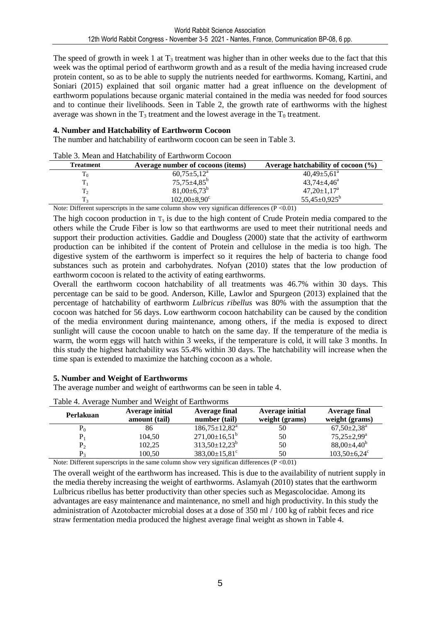The speed of growth in week 1 at  $T_3$  treatment was higher than in other weeks due to the fact that this week was the optimal period of earthworm growth and as a result of the media having increased crude protein content, so as to be able to supply the nutrients needed for earthworms. Komang, Kartini, and Soniari (2015) explained that soil organic matter had a great influence on the development of earthworm populations because organic material contained in the media was needed for food sources and to continue their livelihoods. Seen in Table 2, the growth rate of earthworms with the highest average was shown in the  $T_3$  treatment and the lowest average in the  $T_0$  treatment.

#### **4. Number and Hatchability of Earthworm Cocoon**

Table 3. Mean and Hatchability of Earthworm Cocoon

The number and hatchability of earthworm cocoon can be seen in Table 3.

| Table 5. Meall and Halchability of Earthworth Cocooli |                                   |                                        |  |  |  |  |  |  |
|-------------------------------------------------------|-----------------------------------|----------------------------------------|--|--|--|--|--|--|
| Treatment                                             | Average number of cocoons (items) | Average hatchability of cocoon $(\% )$ |  |  |  |  |  |  |
| 1 <sub>0</sub>                                        | $60,75 \pm 5,12^{\text{a}}$       | $40,49{\pm}5,61^{\circ}$               |  |  |  |  |  |  |
|                                                       | $75,75 \pm 4,85^{\rm b}$          | $43,74 \pm 4,46^{\circ}$               |  |  |  |  |  |  |
| T2                                                    | $81,00\pm6,73^b$                  | $47,20 \pm 1,17^a$                     |  |  |  |  |  |  |
|                                                       | $102,00\pm8,90^{\circ}$           | $55,45\pm0.925^b$                      |  |  |  |  |  |  |

Note: Different superscripts in the same column show very significan differences ( $P < 0.01$ )

The high cocoon production in  $T_3$  is due to the high content of Crude Protein media compared to the others while the Crude Fiber is low so that earthworms are used to meet their nutritional needs and support their production activities. Gaddie and Dougless (2000) state that the activity of earthworm production can be inhibited if the content of Protein and cellulose in the media is too high. The digestive system of the earthworm is imperfect so it requires the help of bacteria to change food substances such as protein and carbohydrates. Nofyan (2010) states that the low production of earthworm cocoon is related to the activity of eating earthworms.

Overall the earthworm cocoon hatchability of all treatments was 46.7% within 30 days. This percentage can be said to be good. Anderson, Kille, Lawlor and Spurgeon (2013) explained that the percentage of hatchability of earthworm *Lulbricus ribellus* was 80% with the assumption that the cocoon was hatched for 56 days. Low earthworm cocoon hatchability can be caused by the condition of the media environment during maintenance, among others, if the media is exposed to direct sunlight will cause the cocoon unable to hatch on the same day. If the temperature of the media is warm, the worm eggs will hatch within 3 weeks, if the temperature is cold, it will take 3 months. In this study the highest hatchability was 55.4% within 30 days. The hatchability will increase when the time span is extended to maximize the hatching cocoon as a whole.

#### **5. Number and Weight of Earthworms**

The average number and weight of earthworms can be seen in table 4.

| Table 4. Average infinition and weight of Earthworths |                 |                                 |                 |                                |  |  |  |  |  |
|-------------------------------------------------------|-----------------|---------------------------------|-----------------|--------------------------------|--|--|--|--|--|
| Perlakuan                                             | Average initial | <b>Average final</b>            | Average initial | Average final                  |  |  |  |  |  |
|                                                       | amount (tail)   | number (tail)                   | weight (grams)  | weight (grams)                 |  |  |  |  |  |
| $P_0$                                                 | 86              | $186,75 \pm 12,82^a$            | 50              | $67,50 \pm 2,38^{\rm a}$       |  |  |  |  |  |
|                                                       | 104,50          | $271,00\pm16,51^b$              | 50              | $75,25 \pm 2,99^{\rm a}$       |  |  |  |  |  |
| $P_2$                                                 | 102,25          | $313,50 \pm 12,23^b$            | 50              | $88,00\pm4,40^{\rm b}$         |  |  |  |  |  |
| P,                                                    | 100,50          | $383,00 \pm 15,81$ <sup>c</sup> | 50              | $103,50 \pm 6,24$ <sup>c</sup> |  |  |  |  |  |

Table 4. Average Number and Weight of Earthworms

Note: Different superscripts in the same column show very significan differences ( $P \le 0.01$ )

The overall weight of the earthworm has increased. This is due to the availability of nutrient supply in the media thereby increasing the weight of earthworms. Aslamyah (2010) states that the earthworm Lulbricus ribellus has better productivity than other species such as Megascolocidae. Among its advantages are easy maintenance and maintenance, no smell and high productivity. In this study the administration of Azotobacter microbial doses at a dose of 350 ml / 100 kg of rabbit feces and rice straw fermentation media produced the highest average final weight as shown in Table 4.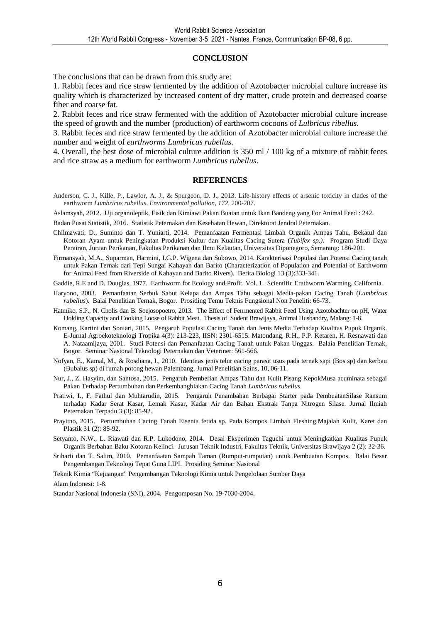#### **CONCLUSION**

The conclusions that can be drawn from this study are:

1. Rabbit feces and rice straw fermented by the addition of Azotobacter microbial culture increase its quality which is characterized by increased content of dry matter, crude protein and decreased coarse fiber and coarse fat.

2. Rabbit feces and rice straw fermented with the addition of Azotobacter microbial culture increase the speed of growth and the number (production) of earthworm cocoons of *Lulbricus ribellus*.

3. Rabbit feces and rice straw fermented by the addition of Azotobacter microbial culture increase the number and weight of *earthworms Lumbricus rubellus*.

4. Overall, the best dose of microbial culture addition is 350 ml / 100 kg of a mixture of rabbit feces and rice straw as a medium for earthworm *Lumbricus rubellus*.

#### **REFERENCES**

Anderson, C. J., Kille, P., Lawlor, A. J., & Spurgeon, D. J., 2013. Life-history effects of arsenic toxicity in clades of the earthworm *Lumbricus rubellus*. *Environmental pollution*, *172*, 200-207.

Aslamsyah, 2012. Uji organoleptik, Fisik dan Kimiawi Pakan Buatan untuk Ikan Bandeng yang For Animal Feed : 242.

Badan Pusat Statistik, 2016. Statistik Peternakan dan Kesehatan Hewan, Direktorat Jendral Peternakan.

- Chilmawati, D., Suminto dan T. Yuniarti, 2014. Pemanfaatan Fermentasi Limbah Organik Ampas Tahu, Bekatul dan Kotoran Ayam untuk Peningkatan Produksi Kultur dan Kualitas Cacing Sutera (*Tubifex sp*.*)*. Program Studi Daya Perairan, Juruan Perikanan, Fakultas Perikanan dan Ilmu Kelautan, Universitas Diponegoro, Semarang: 186-201.
- Firmansyah, M.A., Suparman, Harmini, I.G.P. Wigena dan Subowo, 2014. Karakterisasi Populasi dan Potensi Cacing tanah untuk Pakan Ternak dari Tepi Sungai Kahayan dan Barito (Characterization of Population and Potential of Earthworm for Animal Feed from Riverside of Kahayan and Barito Rivers). Berita Biologi 13 (3):333-341.
- Gaddie, R.E and D. Douglas, 1977. Earthworm for Ecology and Profit. Vol. 1. Scientific Erathworm Warming, California.
- Haryono, 2003. Pemanfaatan Serbuk Sabut Kelapa dan Ampas Tahu sebagai Media-pakan Cacing Tanah (*Lumbricus rubellus*). Balai Penelitian Ternak, Bogor. Prosiding Temu Teknis Fungsional Non Peneliti: 66-73.
- Hatmiko, S.P., N. Cholis dan B. Soejosopoetro, 2013. The Effect of Ferrmented Rabbit Feed Using Azotobachter on pH, Water Holding Capacity and Cooking Loose of Rabbit Meat. Thesis of Sudent Brawijaya, Animal Husbandry, Malang: 1-8.
- Komang, Kartini dan Soniari, 2015. Pengaruh Populasi Cacing Tanah dan Jenis Media Terhadap Kualitas Pupuk Organik. E-Jurnal Agroekoteknologi Tropika 4(3): 213-223, IISN: 2301-6515. Matondang, R.H., P.P. Ketaren, H. Resnawati dan A. Nataamijaya, 2001. Studi Potensi dan Pemanfaatan Cacing Tanah untuk Pakan Unggas. Balaia Penelitian Ternak, Bogor. Seminar Nasional Teknologi Peternakan dan Veteriner: 561-566.
- Nofyan, E., Kamal, M., & Rosdiana, I., 2010. Identitas jenis telur cacing parasit usus pada ternak sapi (Bos sp) dan kerbau (Bubalus sp) di rumah potong hewan Palembang. Jurnal Penelitian Sains, 10, 06-11.
- Nur, J., Z. Hasyim, dan Santosa, 2015. Pengaruh Pemberian Ampas Tahu dan Kulit Pisang KepokMusa acuminata sebagai Pakan Terhadap Pertumbuhan dan Perkembangbiakan Cacing Tanah *Lumbricus rubellus*
- Pratiwi, I., F. Fathul dan Muhtarudin, 2015. Pengaruh Penambahan Berbagai Starter pada PembuatanSilase Ransum terhadap Kadar Serat Kasar, Lemak Kasar, Kadar Air dan Bahan Ekstrak Tanpa Nitrogen Silase. Jurnal Ilmiah Peternakan Terpadu 3 (3): 85-92.
- Prayitno, 2015. Pertumbuhan Cacing Tanah Eisenia fetida sp. Pada Kompos Limbah Fleshing.Majalah Kulit, Karet dan Plastik 31 (2): 85-92.
- Setyanto, N.W., L. Riawati dan R.P. Lukodono, 2014. Desai Eksperimen Taguchi untuk Meningkatkan Kualitas Pupuk Organik Berbahan Baku Kotoran Kelinci. Jurusan Teknik Industri, Fakultas Teknik, Universitas Brawijaya 2 (2): 32-36.
- Sriharti dan T. Salim, 2010. Pemanfaatan Sampah Taman (Rumput-rumputan) untuk Pembuatan Kompos. Balai Besar Pengembangan Teknologi Tepat Guna LIPI. Prosiding Seminar Nasional

Teknik Kimia "Kejuangan" Pengembangan Teknologi Kimia untuk Pengelolaan Sumber Daya Alam Indonesi: 1-8.

Standar Nasional Indonesia (SNI), 2004. Pengomposan No. 19-7030-2004.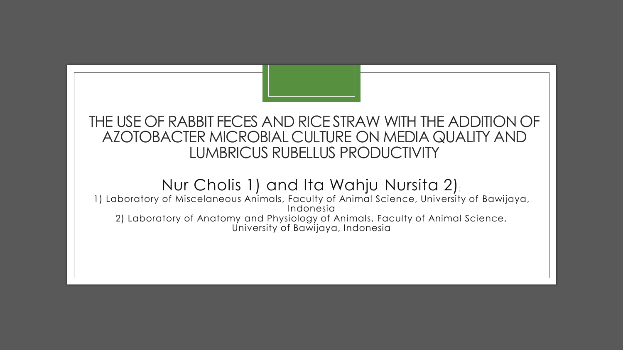### THE USE OF RABBIT FECES AND RICE STRAW WITH THE ADDITION OF AZOTOBACTER MICROBIAL CULTURE ON MEDIA QUALITY AND LUMBRICUS RUBELLUS PRODUCTIVITY

### Nur Cholis 1) and Ita Wahju Nursita 2))

1) Laboratory of Miscelaneous Animals, Faculty of Animal Science, University of Bawijaya, Indonesia 2) Laboratory of Anatomy and Physiology of Animals, Faculty of Animal Science, University of Bawijaya, Indonesia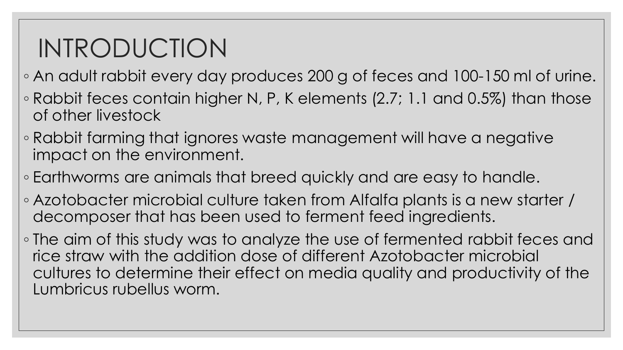# INTRODUCTION

- An adult rabbit every day produces 200 g of feces and 100-150 ml of urine.
- Rabbit feces contain higher N, P, K elements (2.7; 1.1 and 0.5%) than those of other livestock
- Rabbit farming that ignores waste management will have a negative impact on the environment.
- Earthworms are animals that breed quickly and are easy to handle.
- Azotobacter microbial culture taken from Alfalfa plants is a new starter / decomposer that has been used to ferment feed ingredients.
- The aim of this study was to analyze the use of fermented rabbit feces and rice straw with the addition dose of different Azotobacter microbial cultures to determine their effect on media quality and productivity of the Lumbricus rubellus worm.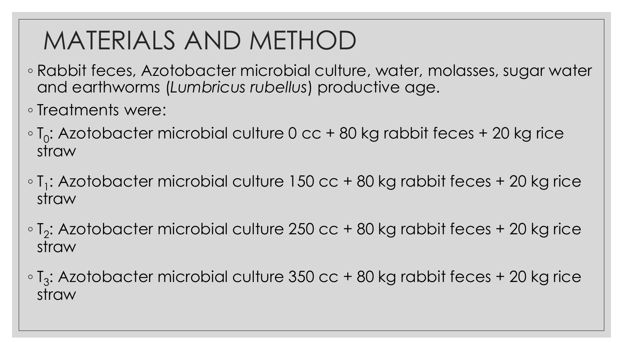# MATERIALS AND METHOD

- Rabbit feces, Azotobacter microbial culture, water, molasses, sugar water and earthworms (*Lumbricus rubellus*) productive age.
- Treatments were:
- $\circ$  T<sub>0</sub>: Azotobacter microbial culture 0 cc + 80 kg rabbit feces + 20 kg rice straw
- $\circ$  T<sub>1</sub>: Azotobacter microbial culture 150 cc + 80 kg rabbit feces + 20 kg rice straw
- $\circ$  T<sub>2</sub>: Azotobacter microbial culture 250 cc + 80 kg rabbit feces + 20 kg rice straw
- $\,\circ$  T<sub>3</sub>: Azotobacter microbial culture 350 cc + 80 kg rabbit feces + 20 kg rice straw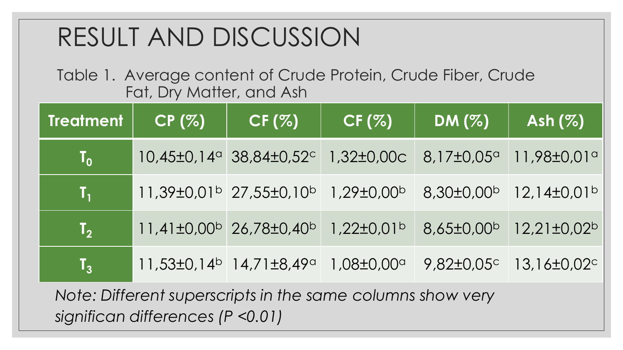# RESULT AND DISCUSSION

Table 1. Average content of Crude Protein, Crude Fiber, Crude Fat, Dry Matter, and Ash

| Treatment                 | CP(%) | CF (%)                                                                            | CF (%)                | DM(%)                 | Ash (%)                                       |
|---------------------------|-------|-----------------------------------------------------------------------------------|-----------------------|-----------------------|-----------------------------------------------|
| $\mathbf{I}_{\mathbf{0}}$ |       | $10,45\pm0,14^{\circ}$ 38,84 $\pm0,52^{\circ}$ 1,32 $\pm0,00$ c                   |                       | $8,17\pm0,05^{\circ}$ | $11,98\pm0,01$ a                              |
| $\mathbf{T}_1$            |       | $11,39\pm0.01^{\circ}$ 27,55 $\pm$ 0,10 <sup>b</sup> 1,29 $\pm$ 0.00 <sup>b</sup> |                       | $8,30\pm0,00^{b}$     | $12,14\pm0,01^{\circ}$                        |
| $\mathsf{T}_2$            |       | $11,41\pm0,00^{\circ}$ 26,78 $\pm0,40^{\circ}$                                    | $1,22\pm0,01^{\rm b}$ |                       | $8,65\pm0.00^{\circ}$ 12,21 $\pm0.02^{\circ}$ |
| $\mathsf{T}_3$            |       | $11,53\pm0,14^b$ 14,71 $\pm8,49^a$                                                | $1,08\pm0,00^\circ$   |                       | $9,82\pm0,05^{\circ}$ 13,16 $\pm0,02^{\circ}$ |

*Note: Different superscripts in the same columns show very significan differences (P <0.01)*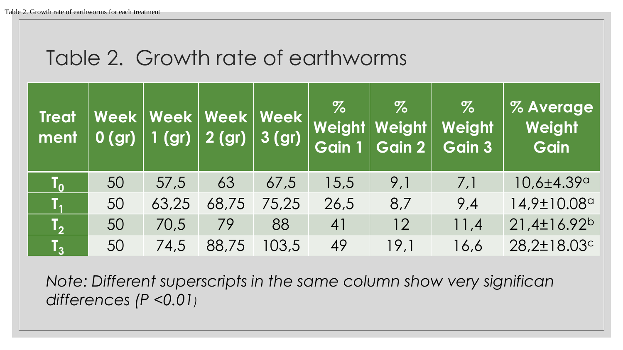## Table 2. Growth rate of earthworms

| <b>Treat</b><br>ment    | 0(qr) | Week   Week   Week   Week | $\boxed{1$ (gr) $\boxed{2}$ (gr) $\boxed{ }$ | $ 3$ (gr) | $\%$<br>Gain 1 | $\%$<br>Weight   Weight  <br>Gain 2 | $\%$<br>Weight<br>Gain 3 | <b>% Average</b><br>Weight<br>Gain |
|-------------------------|-------|---------------------------|----------------------------------------------|-----------|----------------|-------------------------------------|--------------------------|------------------------------------|
| $\mathbf{T_o}$          | 50    | 57,5                      | 63                                           | 67,5      | 15,5           | 9,1                                 | 7,1                      | $10,6 \pm 4.39^{\circ}$            |
| T,                      | 50    | 63,25                     | 68,75                                        | 75,25     | 26,5           | 8,7                                 | 9,4                      | 14,9±10.08a                        |
| $\overline{\textbf{L}}$ | 50    | 70,5                      | 79                                           | 88        | 41             | 12                                  | 11,4                     | $21,4\pm16.92^b$                   |
| $\mathbf{L}$            | 50    | 74,5                      | 88,75                                        | 103,5     | 49             | 19,1                                | 16,6                     | 28,2±18.03c                        |

*Note: Different superscripts in the same column show very significan differences (P <0.01)*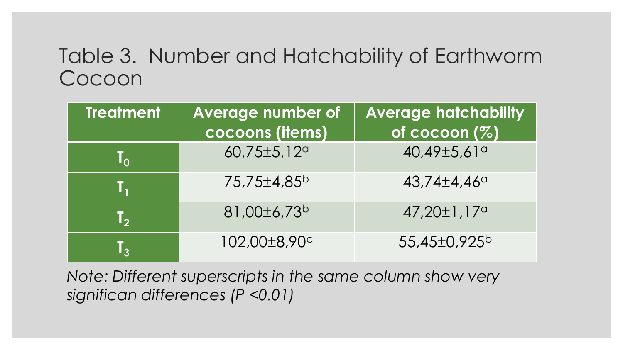## Table 3. Number and Hatchability of Earthworm Cocoon

| <b>Treatment</b> | <b>Average number of</b> | <b>Average hatchability</b> |  |  |
|------------------|--------------------------|-----------------------------|--|--|
|                  | cocoons (items)          | of cocoon (%)               |  |  |
| $\mathbf{T_{0}}$ | 60,75±5,12 <sup>a</sup>  | 40,49±5,61a                 |  |  |
| Τ,               | 75,75±4,85 <sup>b</sup>  | $43,74\pm4,46^{\circ}$      |  |  |
| <b>TA</b>        | 81,00±6,73 <sup>b</sup>  | $47,20\pm1,17$ <sup>a</sup> |  |  |
| T,               | 102,00±8,90c             | 55,45±0,925 <sup>b</sup>    |  |  |

*Note: Different superscripts in the same column show very significan differences (P <0.01)*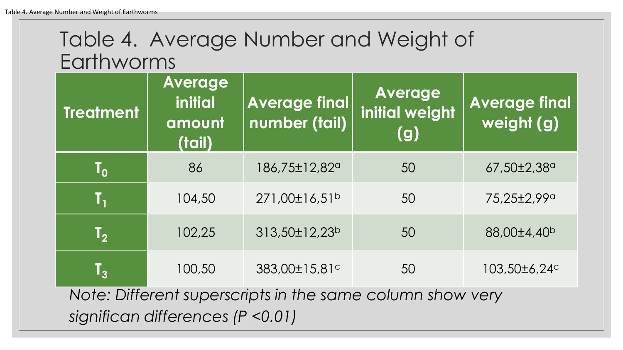## Table 4. Average Number and Weight of Earthworms

| <b>Treatment</b>                                                                               | <b>Average</b><br>initial<br>amount<br>(tail) | <b>Average final</b><br>number (tail) | <b>Average</b><br><b>initial weight</b><br>(g) | <b>Average final</b><br>weight (g) |  |  |  |  |
|------------------------------------------------------------------------------------------------|-----------------------------------------------|---------------------------------------|------------------------------------------------|------------------------------------|--|--|--|--|
| $\mathbf{I}_{\mathbf{0}}$                                                                      | 86                                            | 186,75±12,82 <sup>a</sup>             | 50                                             | $67,50\pm2,38^{\circ}$             |  |  |  |  |
| Τ,                                                                                             | 104,50                                        | 271,00±16,51 <sup>b</sup>             | 50                                             | 75,25±2,99a                        |  |  |  |  |
| $\mathsf{T}_2$                                                                                 | 102,25                                        | 313,50±12,23 <sup>b</sup>             | 50                                             | 88,00±4,40 <sup>b</sup>            |  |  |  |  |
| $\mathsf{T}_3$                                                                                 | 100,50                                        | 383,00±15,81c                         | 50                                             | 103,50±6,24c                       |  |  |  |  |
| Note: Different superscripts in the same column show very<br>significan differences (P < 0.01) |                                               |                                       |                                                |                                    |  |  |  |  |